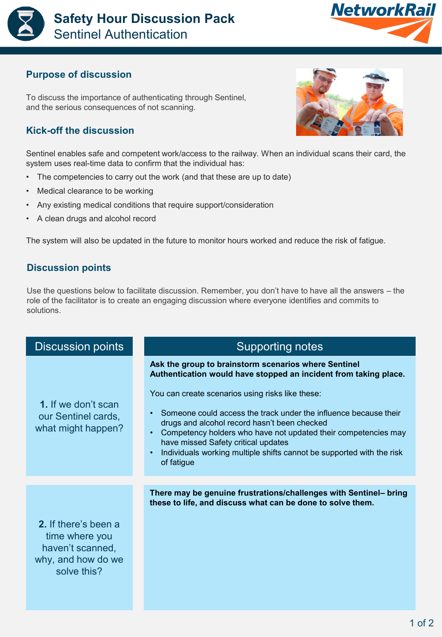



## **Purpose of discussion**

To discuss the importance of authenticating through Sentinel, and the serious consequences of not scanning.

## **Kick-off the discussion**

Sentinel enables safe and competent work/access to the railway. When an individual scans their card, the system uses real-time data to confirm that the individual has:

- The competencies to carry out the work (and that these are up to date)
- Medical clearance to be working
- Any existing medical conditions that require support/consideration
- A clean drugs and alcohol record

The system will also be updated in the future to monitor hours worked and reduce the risk of fatigue.

## **Discussion points**

Use the questions below to facilitate discussion. Remember, you don't have to have all the answers – the role of the facilitator is to create an engaging discussion where everyone identifies and commits to solutions.

| <b>Discussion points</b>                                                                        | <b>Supporting notes</b>                                                                                                                                                                                                                                                                                                                                                                                                                                                                                       |
|-------------------------------------------------------------------------------------------------|---------------------------------------------------------------------------------------------------------------------------------------------------------------------------------------------------------------------------------------------------------------------------------------------------------------------------------------------------------------------------------------------------------------------------------------------------------------------------------------------------------------|
| 1. If we don't scan<br>our Sentinel cards,<br>what might happen?                                | Ask the group to brainstorm scenarios where Sentinel<br>Authentication would have stopped an incident from taking place.<br>You can create scenarios using risks like these:<br>Someone could access the track under the influence because their<br>$\bullet$<br>drugs and alcohol record hasn't been checked<br>Competency holders who have not updated their competencies may<br>have missed Safety critical updates<br>Individuals working multiple shifts cannot be supported with the risk<br>of fatigue |
|                                                                                                 |                                                                                                                                                                                                                                                                                                                                                                                                                                                                                                               |
| 2. If there's been a<br>time where you<br>haven't scanned,<br>why, and how do we<br>solve this? | There may be genuine frustrations/challenges with Sentinel- bring<br>these to life, and discuss what can be done to solve them.                                                                                                                                                                                                                                                                                                                                                                               |